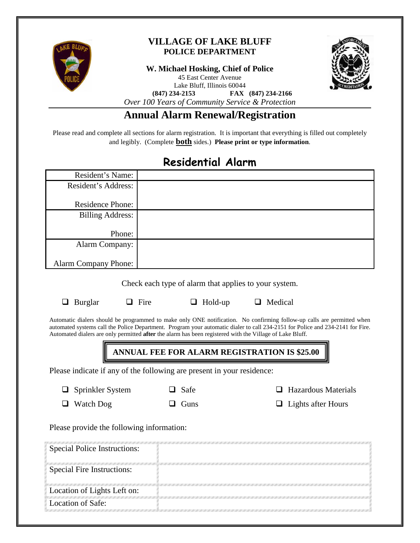

### **VILLAGE OF LAKE BLUFF POLICE DEPARTMENT**

**W. Michael Hosking, Chief of Police**

45 East Center Avenue



Lake Bluff, Illinois 60044

**(847) 234-2153 FAX (847) 234-2166**

*Over 100 Years of Community Service & Protection*

## **Annual Alarm Renewal/Registration**

Please read and complete all sections for alarm registration. It is important that everything is filled out completely and legibly. (Complete **both** sides.) **Please print or type information**.

# **Residential Alarm**

| Resident's Name:            |  |
|-----------------------------|--|
| Resident's Address:         |  |
|                             |  |
| <b>Residence Phone:</b>     |  |
| <b>Billing Address:</b>     |  |
|                             |  |
| Phone:                      |  |
| Alarm Company:              |  |
|                             |  |
| <b>Alarm Company Phone:</b> |  |

Check each type of alarm that applies to your system.

 $\Box$  Burglar  $\Box$  Fire  $\Box$  Hold-up  $\Box$  Medical

Automatic dialers should be programmed to make only ONE notification. No confirming follow-up calls are permitted when automated systems call the Police Department. Program your automatic dialer to call 234-2151 for Police and 234-2141 for Fire. Automated dialers are only permitted **after** the alarm has been registered with the Village of Lake Bluff.

**ANNUAL FEE FOR ALARM REGISTRATION IS \$25.00**

Please indicate if any of the following are present in your residence:

 $\Box$  Sprinkler System

 $\Box$  Safe

 $\Box$  Hazardous Materials

■ Watch Dog

 $\Box$  Guns

 $\Box$  Lights after Hours

Please provide the following information:

| <b>Special Police Instructions:</b> |  |
|-------------------------------------|--|
| <b>Special Fire Instructions:</b>   |  |
| Location of Lights Left on:         |  |
| Location of Safe:                   |  |